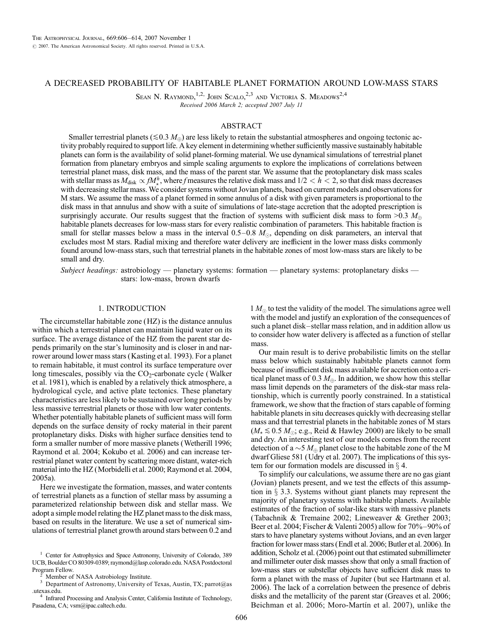# A DECREASED PROBABILITY OF HABITABLE PLANET FORMATION AROUND LOW-MASS STARS

SEAN N. RAYMOND,<sup>1,2,</sup> JOHN SCALO,<sup>2,3</sup> AND VICTORIA S. MEADOWS<sup>2,4</sup> Received 2006 March 2; accepted 2007 July 11

## ABSTRACT

Smaller terrestrial planets ( $\leq 0.3$  M<sub> $\oplus$ </sub>) are less likely to retain the substantial atmospheres and ongoing tectonic activity probably required to support life. A key element in determining whether sufficiently massive sustainably habitable planets can form is the availability of solid planet-forming material. We use dynamical simulations of terrestrial planet formation from planetary embryos and simple scaling arguments to explore the implications of correlations between terrestrial planet mass, disk mass, and the mass of the parent star. We assume that the protoplanetary disk mass scales with stellar mass as  $M_{disk} \propto f M_{\star}^h$ , where f measures the relative disk mass and  $1/2 < h < 2$ , so that disk mass decreases with decreasing stellar mass. We consider systems without Jovian planets, based on current models and observations for M stars. We assume the mass of a planet formed in some annulus of a disk with given parameters is proportional to the disk mass in that annulus and show with a suite of simulations of late-stage accretion that the adopted prescription is surprisingly accurate. Our results suggest that the fraction of systems with sufficient disk mass to form  $>0.3$   $M_{\oplus}$ habitable planets decreases for low-mass stars for every realistic combination of parameters. This habitable fraction is small for stellar masses below a mass in the interval  $0.5-0.8$   $M_{\odot}$ , depending on disk parameters, an interval that excludes most M stars. Radial mixing and therefore water delivery are inefficient in the lower mass disks commonly found around low-mass stars, such that terrestrial planets in the habitable zones of most low-mass stars are likely to be small and dry.

Subject headings: astrobiology — planetary systems: formation — planetary systems: protoplanetary disks stars: low-mass, brown dwarfs

#### 1. INTRODUCTION

The circumstellar habitable zone (HZ) is the distance annulus within which a terrestrial planet can maintain liquid water on its surface. The average distance of the HZ from the parent star depends primarily on the star's luminosity and is closer in and narrower around lower mass stars (Kasting et al. 1993). For a planet to remain habitable, it must control its surface temperature over long timescales, possibly via the  $CO<sub>2</sub>$ -carbonate cycle (Walker et al. 1981), which is enabled by a relatively thick atmosphere, a hydrological cycle, and active plate tectonics. These planetary characteristics are less likely to be sustained over long periods by less massive terrestrial planets or those with low water contents. Whether potentially habitable planets of sufficient mass will form depends on the surface density of rocky material in their parent protoplanetary disks. Disks with higher surface densities tend to form a smaller number of more massive planets (Wetherill 1996; Raymond et al. 2004; Kokubo et al. 2006) and can increase terrestrial planet water content by scattering more distant, water-rich material into the HZ (Morbidelli et al. 2000; Raymond et al. 2004, 2005a).

Here we investigate the formation, masses, and water contents of terrestrial planets as a function of stellar mass by assuming a parameterized relationship between disk and stellar mass. We adopt a simple model relating the HZ planet mass to the disk mass, based on results in the literature. We use a set of numerical simulations of terrestrial planet growth around stars between 0.2 and

.utexas.edu. <sup>4</sup> Infrared Processing and Analysis Center, California Institute of Technology,

Pasadena, CA; vsm@ipac.caltech.edu.

 $1 M_{\odot}$  to test the validity of the model. The simulations agree well with the model and justify an exploration of the consequences of such a planet disk-stellar mass relation, and in addition allow us to consider how water delivery is affected as a function of stellar mass.

Our main result is to derive probabilistic limits on the stellar mass below which sustainably habitable planets cannot form because of insufficient disk mass available for accretion onto a critical planet mass of 0.3  $M_{\oplus}$ . In addition, we show how this stellar mass limit depends on the parameters of the disk-star mass relationship, which is currently poorly constrained. In a statistical framework, we show that the fraction of stars capable of forming habitable planets in situ decreases quickly with decreasing stellar mass and that terrestrial planets in the habitable zones of M stars  $(M_{\star} \lesssim 0.5 M_{\odot};$  e.g., Reid & Hawley 2000) are likely to be small and dry. An interesting test of our models comes from the recent detection of a  $\sim$  5  $M_{\odot}$  planet close to the habitable zone of the M dwarf Gliese 581 (Udry et al. 2007). The implications of this system for our formation models are discussed in  $\S$  4.

To simplify our calculations, we assume there are no gas giant (Jovian) planets present, and we test the effects of this assumption in  $\S$  3.3. Systems without giant planets may represent the majority of planetary systems with habitable planets. Available estimates of the fraction of solar-like stars with massive planets (Tabachnik & Tremaine 2002; Lineweaver & Grether 2003; Beer et al. 2004; Fischer & Valenti 2005) allow for  $70\% - 90\%$  of stars to have planetary systems without Jovians, and an even larger fraction for lower mass stars (Endl et al. 2006; Butler et al. 2006). In addition, Scholz et al. (2006) point out that estimated submillimeter and millimeter outer disk masses show that only a small fraction of low-mass stars or substellar objects have sufficient disk mass to form a planet with the mass of Jupiter ( but see Hartmann et al. 2006). The lack of a correlation between the presence of debris disks and the metallicity of the parent star (Greaves et al. 2006; Beichman et al. 2006; Moro-Martín et al. 2007), unlike the

<sup>&</sup>lt;sup>1</sup> Center for Astrophysics and Space Astronomy, University of Colorado, 389 UCB, Boulder CO 80309-0389; raymond@lasp.colorado.edu. NASA Postdoctoral Program Fellow.<br>
<sup>2</sup> Member of NASA Astrobiology Institute.<br>
<sup>3</sup> Department of Astronomy, University of Texas, Austin, TX; parrot@as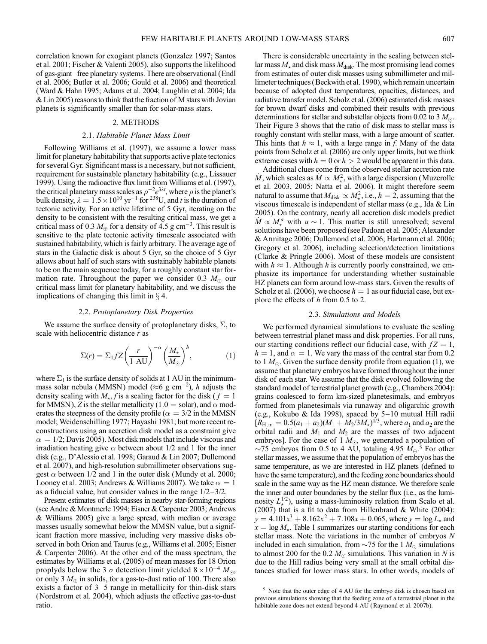correlation known for exogiant planets (Gonzalez 1997; Santos et al. 2001; Fischer & Valenti 2005), also supports the likelihood of gas-giant-free planetary systems. There are observational (Endl et al. 2006; Butler et al. 2006; Gould et al. 2006) and theoretical (Ward & Hahn 1995; Adams et al. 2004; Laughlin et al. 2004; Ida & Lin 2005) reasons to think that the fraction of M stars with Jovian planets is significantly smaller than for solar-mass stars.

## 2. METHODS

## 2.1. Habitable Planet Mass Limit

Following Williams et al. (1997), we assume a lower mass limit for planetary habitability that supports active plate tectonics for several Gyr. Significant mass is a necessary, but not sufficient, requirement for sustainable planetary habitability (e.g., Lissauer 1999). Using the radioactive flux limit from Williams et al. (1997), the critical planetary mass scales as  $\rho^{-2}e^{3\lambda t}$ , where  $\rho$  is the planet's bulk density,  $\lambda = 1.5 \times 10^{10} \text{ yr}^{-1}$  for <sup>238</sup>U, and *t* is the duration of tectonic activity. For an active lifetime of 5 Gyr, iterating on the density to be consistent with the resulting critical mass, we get a critical mass of 0.3  $M_{\oplus}$  for a density of 4.5 g cm<sup>-3</sup>. This result is sensitive to the plate tectonic activity timescale associated with sustained habitability, which is fairly arbitrary. The average age of stars in the Galactic disk is about 5 Gyr, so the choice of 5 Gyr allows about half of such stars with sustainably habitable planets to be on the main sequence today, for a roughly constant star formation rate. Throughout the paper we consider 0.3  $M_{\oplus}$  our critical mass limit for planetary habitability, and we discuss the implications of changing this limit in  $\S$  4.

#### 2.2. Protoplanetary Disk Properties

We assume the surface density of protoplanetary disks,  $\Sigma$ , to scale with heliocentric distance  $r$  as

$$
\Sigma(r) = \Sigma_1 f Z \left(\frac{r}{1 \text{ AU}}\right)^{-\alpha} \left(\frac{M_\star}{M_\odot}\right)^h, \tag{1}
$$

where  $\Sigma_1$  is the surface density of solids at 1 AU in the minimummass solar nebula (MMSN) model ( $\approx$ 6 g cm<sup>-2</sup>), h adjusts the density scaling with  $M_{\star}$ , f is a scaling factor for the disk (  $f = 1$ for MMSN), Z is the stellar metallicity (1.0 = solar), and  $\alpha$  moderates the steepness of the density profile ( $\alpha = 3/2$  in the MMSN model; Weidenschilling 1977; Hayashi 1981; but more recent reconstructions using an accretion disk model as a constraint give  $\alpha = 1/2$ ; Davis 2005). Most disk models that include viscous and irradiation heating give  $\alpha$  between about 1/2 and 1 for the inner disk (e.g., D'Alessio et al. 1998; Garaud & Lin 2007; Dullemond et al. 2007), and high-resolution submillimeter observations suggest  $\alpha$  between 1/2 and 1 in the outer disk (Mundy et al. 2000; Looney et al. 2003; Andrews & Williams 2007). We take  $\alpha = 1$ as a fiducial value, but consider values in the range  $1/2-3/2$ .

Present estimates of disk masses in nearby star-forming regions (see Andre & Montmerle 1994; Eisner & Carpenter 2003; Andrews & Williams 2005) give a large spread, with median or average masses usually somewhat below the MMSN value, but a significant fraction more massive, including very massive disks observed in both Orion and Taurus (e.g., Williams et al. 2005; Eisner & Carpenter 2006). At the other end of the mass spectrum, the estimates by Williams et al. (2005) of mean masses for 18 Orion proplyds below the 3  $\sigma$  detection limit yielded  $8 \times 10^{-4}$   $M_{\odot}$ , or only 3  $M_{\oplus}$  in solids, for a gas-to-dust ratio of 100. There also exists a factor of  $3-5$  range in metallicity for thin-disk stars (Nordstrom et al. 2004), which adjusts the effective gas-to-dust ratio.

There is considerable uncertainty in the scaling between stellar mass  $M_{\star}$  and disk mass  $M_{\text{disk}}$ . The most promising lead comes from estimates of outer disk masses using submillimeter and millimeter techniques (Beckwith et al. 1990), which remain uncertain because of adopted dust temperatures, opacities, distances, and radiative transfer model. Scholz et al. (2006) estimated disk masses for brown dwarf disks and combined their results with previous determinations for stellar and substellar objects from 0.02 to 3  $M_{\odot}$ . Their Figure 3 shows that the ratio of disk mass to stellar mass is roughly constant with stellar mass, with a large amount of scatter. This hints that  $h \approx 1$ , with a large range in f. Many of the data points from Scholz et al. (2006) are only upper limits, but we think extreme cases with  $h = 0$  or  $h > 2$  would be apparent in this data.

Additional clues come from the observed stellar accretion rate  $\dot{M}$ , which scales as  $\dot{M} \propto M_\star^2$ , with a large dispersion (Muzerolle et al. 2003, 2005; Natta et al. 2006). It might therefore seem natural to assume that  $M_{\rm disk} \propto M_{\star}^2$ , i.e.,  $h = 2$ , assuming that the viscous timescale is independent of stellar mass (e.g., Ida & Lin 2005). On the contrary, nearly all accretion disk models predict  $\dot{M} \propto M_*^a$  with  $a \sim 1$ . This matter is still unresolved; several solutions have been proposed (see Padoan et al. 2005; Alexander & Armitage 2006; Dullemond et al. 2006; Hartmann et al. 2006; Gregory et al. 2006), including selection/detection limitations (Clarke & Pringle 2006). Most of these models are consistent with  $h \approx 1$ . Although h is currently poorly constrained, we emphasize its importance for understanding whether sustainable HZ planets can form around low-mass stars. Given the results of Scholz et al. (2006), we choose  $h = 1$  as our fiducial case, but explore the effects of  $h$  from 0.5 to 2.

#### 2.3. Simulations and Models

We performed dynamical simulations to evaluate the scaling between terrestrial planet mass and disk properties. For all runs, our starting conditions reflect our fiducial case, with  $fZ = 1$ ,  $h = 1$ , and  $\alpha = 1$ . We vary the mass of the central star from 0.2 to  $1 M_{\odot}$ . Given the surface density profile from equation (1), we assume that planetary embryos have formed throughout the inner disk of each star. We assume that the disk evolved following the standard model of terrestrial planet growth (e.g., Chambers 2004): grains coalesced to form km-sized planetesimals, and embryos formed from planetesimals via runaway and oligarchic growth (e.g., Kokubo & Ida 1998), spaced by  $5-10$  mutual Hill radii  $[R_{\rm H,m} = 0.5(a_1 + a_2)(M_1 + M_2/3M_*)^{1/3}$ , where  $a_1$  and  $a_2$  are the orbital radii and  $M_1$  and  $M_2$  are the masses of two adjacent embryos]. For the case of  $1 M_{\odot}$ , we generated a population of  $\sim$ 75 embryos from 0.5 to 4 AU, totaling 4.95  $M_{\oplus}$ .<sup>5</sup> For other stellar masses, we assume that the population of embryos has the same temperature, as we are interested in HZ planets (defined to have the same temperature), and the feeding zone boundaries should scale in the same way as the HZ mean distance. We therefore scale the inner and outer boundaries by the stellar flux (i.e., as the luminosity  $L_{\star}^{1/2}$ ), using a mass-luminosity relation from Scalo et al. (2007) that is a fit to data from Hillenbrand & White (2004):  $y = 4.101x^3 + 8.162x^2 + 7.108x + 0.065$ , where  $y = \log L_{\star}$  and  $x = \log M_{\star}$ . Table 1 summarizes our starting conditions for each stellar mass. Note the variations in the number of embryos N included in each simulation, from  $\sim$  75 for the 1  $M_{\odot}$  simulations to almost 200 for the 0.2  $M_{\odot}$  simulations. This variation in N is due to the Hill radius being very small at the small orbital distances studied for lower mass stars. In other words, models of

<sup>5</sup> Note that the outer edge of 4 AU for the embryo disk is chosen based on previous simulations showing that the feeding zone of a terrestrial planet in the habitable zone does not extend beyond 4 AU (Raymond et al. 2007b).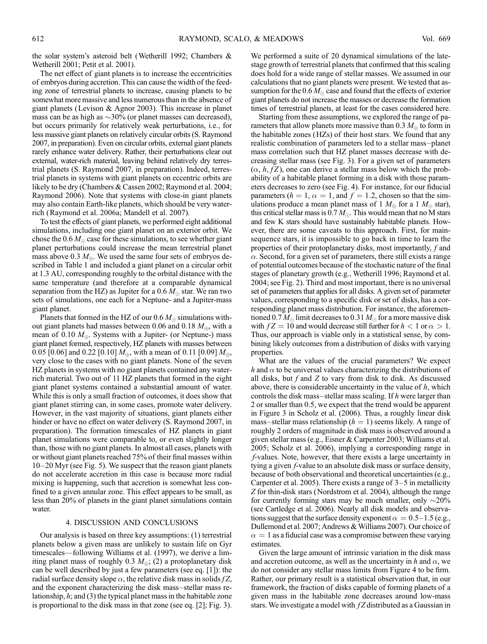the solar system's asteroid belt (Wetherill 1992; Chambers & Wetherill 2001; Petit et al. 2001).

The net effect of giant planets is to increase the eccentricities of embryos during accretion. This can cause the width of the feeding zone of terrestrial planets to increase, causing planets to be somewhat more massive and less numerous than in the absence of giant planets (Levison & Agnor 2003). This increase in planet mass can be as high as  $\sim$ 30% (or planet masses can decreased), but occurs primarily for relatively weak perturbations, i.e., for less massive giant planets on relatively circular orbits (S. Raymond 2007, in preparation). Even on circular orbits, external giant planets rarely enhance water delivery. Rather, their perturbations clear out external, water-rich material, leaving behind relatively dry terrestrial planets (S. Raymond 2007, in preparation). Indeed, terrestrial planets in systems with giant planets on eccentric orbits are likely to be dry (Chambers & Cassen 2002; Raymond et al. 2004; Raymond 2006). Note that systems with close-in giant planets may also contain Earth-like planets, which should be very waterrich (Raymond et al. 2006a; Mandell et al. 2007).

To test the effects of giant planets, we performed eight additional simulations, including one giant planet on an exterior orbit. We chose the  $0.6 M_{\odot}$  case for these simulations, to see whether giant planet perturbations could increase the mean terrestrial planet mass above 0.3  $M_{\oplus}$ . We used the same four sets of embryos described in Table 1 and included a giant planet on a circular orbit at 1.3 AU, corresponding roughly to the orbital distance with the same temperature (and therefore at a comparable dynamical separation from the HZ) as Jupiter for a  $0.6\,M_\odot$  star. We ran two sets of simulations, one each for a Neptune- and a Jupiter-mass giant planet.

Planets that formed in the HZ of our  $0.6\,M_\odot$  simulations without giant planets had masses between 0.06 and 0.18  $M_{\oplus}$ , with a mean of 0.10  $M_{\oplus}$ . Systems with a Jupiter- (or Neptune-) mass giant planet formed, respectively, HZ planets with masses between 0.05 [0.06] and 0.22 [0.10]  $M_{\oplus}$ , with a mean of 0.11 [0.09]  $M_{\oplus}$ , very close to the cases with no giant planets. None of the seven HZ planets in systems with no giant planets contained any waterrich material. Two out of 11 HZ planets that formed in the eight giant planet systems contained a substantial amount of water. While this is only a small fraction of outcomes, it does show that giant planet stirring can, in some cases, promote water delivery. However, in the vast majority of situations, giant planets either hinder or have no effect on water delivery (S. Raymond 2007, in preparation). The formation timescales of HZ planets in giant planet simulations were comparable to, or even slightly longer than, those with no giant planets. In almost all cases, planets with or without giant planets reached 75% of their final masses within  $10-20$  Myr (see Fig. 5). We suspect that the reason giant planets do not accelerate accretion in this case is because more radial mixing is happening, such that accretion is somewhat less confined to a given annular zone. This effect appears to be small, as less than 20% of planets in the giant planet simulations contain water.

## 4. DISCUSSION AND CONCLUSIONS

Our analysis is based on three key assumptions: (1) terrestrial planets below a given mass are unlikely to sustain life on Gyr timescales—following Williams et al. (1997), we derive a limiting planet mass of roughly 0.3  $M_{\oplus}$ ; (2) a protoplanetary disk can be well described by just a few parameters (see eq. [1]): the radial surface density slope  $\alpha$ , the relative disk mass in solids  $fZ$ , and the exponent characterizing the disk mass-stellar mass relationship,  $h$ ; and (3) the typical planet mass in the habitable zone is proportional to the disk mass in that zone (see eq. [2]; Fig. 3).

We performed a suite of 20 dynamical simulations of the latestage growth of terrestrial planets that confirmed that this scaling does hold for a wide range of stellar masses. We assumed in our calculations that no giant planets were present. We tested that assumption for the  $0.6\,M_\odot$  case and found that the effects of exterior giant planets do not increase the masses or decrease the formation times of terrestrial planets, at least for the cases considered here.

Starting from these assumptions, we explored the range of parameters that allow planets more massive than  $0.3 M_{\oplus}$  to form in the habitable zones (HZs) of their host stars. We found that any realistic combination of parameters led to a stellar mass-planet mass correlation such that HZ planet masses decrease with decreasing stellar mass (see Fig. 3). For a given set of parameters  $(\alpha, h, fZ)$ , one can derive a stellar mass below which the probability of a habitable planet forming in a disk with those parameters decreases to zero (see Fig. 4). For instance, for our fiducial parameters ( $h = 1$ ,  $\alpha = 1$ , and  $f = 1.2$ , chosen so that the simulations produce a mean planet mass of  $1 M_{\oplus}$  for a  $1 M_{\odot}$  star), this critical stellar mass is 0.7  $M_{\odot}$ . This would mean that no M stars and few K stars should have sustainably habitable planets. However, there are some caveats to this approach. First, for mainsequence stars, it is impossible to go back in time to learn the properties of their protoplanetary disks, most importantly, f and  $\alpha$ . Second, for a given set of parameters, there still exists a range of potential outcomes because of the stochastic nature of the final stages of planetary growth (e.g., Wetherill 1996; Raymond et al. 2004; see Fig. 2). Third and most important, there is no universal set of parameters that applies for all disks. A given set of parameter values, corresponding to a specific disk or set of disks, has a corresponding planet mass distribution. For instance, the aforementioned 0.7  $M_\odot$  limit decreases to 0.31  $M_\odot$  for a more massive disk with  $fZ = 10$  and would decrease still further for  $h < 1$  or  $\alpha > 1$ . Thus, our approach is viable only in a statistical sense, by combining likely outcomes from a distribution of disks with varying properties.

What are the values of the crucial parameters? We expect h and  $\alpha$  to be universal values characterizing the distributions of all disks, but  $f$  and  $Z$  to vary from disk to disk. As discussed above, there is considerable uncertainty in the value of  $h$ , which controls the disk mass-stellar mass scaling. If  $h$  were larger than 2 or smaller than 0.5, we expect that the trend would be apparent in Figure 3 in Scholz et al. (2006). Thus, a roughly linear disk mass-stellar mass relationship ( $h = 1$ ) seems likely. A range of roughly 2 orders of magnitude in disk mass is observed around a given stellar mass (e.g., Eisner & Carpenter 2003; Williams et al. 2005; Scholz et al. 2006), implying a corresponding range in f-values. Note, however, that there exists a large uncertainty in tying a given f-value to an absolute disk mass or surface density, because of both observational and theoretical uncertainties (e.g., Carpenter et al. 2005). There exists a range of  $3-5$  in metallicity Z for thin-disk stars (Nordstrom et al. 2004), although the range for currently forming stars may be much smaller, only  $\sim$ 20% (see Cartledge et al. 2006). Nearly all disk models and observations suggest that the surface density exponent  $\alpha = 0.5 - 1.5$  (e.g., Dullemond et al. 2007; Andrews & Williams 2007). Our choice of  $\alpha = 1$  as a fiducial case was a compromise between these varying estimates.

Given the large amount of intrinsic variation in the disk mass and accretion outcome, as well as the uncertainty in h and  $\alpha$ , we do not consider any stellar mass limits from Figure 4 to be firm. Rather, our primary result is a statistical observation that, in our framework, the fraction of disks capable of forming planets of a given mass in the habitable zone decreases around low-mass stars. We investigate a model with  $fZ$  distributed as a Gaussian in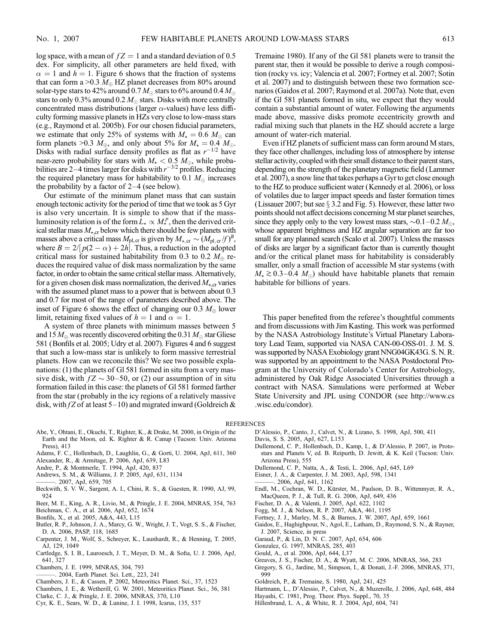log space, with a mean of  $fZ = 1$  and a standard deviation of 0.5 dex. For simplicity, all other parameters are held fixed, with  $\alpha = 1$  and  $h = 1$ . Figure 6 shows that the fraction of systems that can form a >0.3  $M_{\oplus}$  HZ planet decreases from 80% around solar-type stars to 42% around 0.7  $M_\odot$  stars to 6% around 0.4  $M_\odot$ stars to only 0.3% around 0.2  $M_{\odot}$  stars. Disks with more centrally concentrated mass distributions (larger  $\alpha$ -values) have less difficulty forming massive planets in HZs very close to low-mass stars (e.g., Raymond et al. 2005b). For our chosen fiducial parameters, we estimate that only 25% of systems with  $M_{\star} = 0.6$   $M_{\odot}$  can form planets >0.3  $M_{\oplus}$ , and only about 5% for  $M_{\star} = 0.4 M_{\odot}$ . Disks with radial surface density profiles as flat as  $r^{-1/2}$  have near-zero probability for stars with  $M_{\star} < 0.5 M_{\odot}$ , while probabilities are 2–4 times larger for disks with  $r^{-3/2}$  profiles. Reducing the required planetary mass for habitability to 0.1  $M_{\odot}$  increases the probability by a factor of  $2-4$  (see below).

Our estimate of the minimum planet mass that can sustain enough tectonic activity for the period of time that we took as 5 Gyr is also very uncertain. It is simple to show that if the massluminosity relation is of the form  $\hat{L}_\star \propto M_\star^p$ , then the derived critical stellar mass  $M_{\star,\text{cr}}$  below which there should be few planets with masses above a critical mass  $M_{\rm pl,cr}$  is given by  $M_{\rm \star,cr} \sim (M_{\rm pl,cr}/f)^{\rm B},$ where  $B = 2/[p(2 - \alpha) + 2h]$ . Thus, a reduction in the adopted critical mass for sustained habitability from 0.3 to 0.2  $M_{\oplus}$  reduces the required value of disk mass normalization by the same factor, in order to obtain the same critical stellar mass. Alternatively, for a given chosen disk mass normalization, the derived  $M_{\star,cr}$  varies with the assumed planet mass to a power that is between about 0.3 and 0.7 for most of the range of parameters described above. The inset of Figure 6 shows the effect of changing our 0.3  $M_{\oplus}$  lower limit, retaining fixed values of  $h = 1$  and  $\alpha = 1$ .

A system of three planets with minimum masses between 5 and 15  $M_\oplus$  was recently discovered orbiting the 0.31  $M_\odot$  star Gliese 581 (Bonfils et al. 2005; Udry et al. 2007). Figures 4 and 6 suggest that such a low-mass star is unlikely to form massive terrestrial planets. How can we reconcile this? We see two possible explanations: (1) the planets of Gl 581 formed in situ from a very massive disk, with  $fZ \sim 30-50$ , or (2) our assumption of in situ formation failed in this case: the planets of Gl 581 formed farther from the star (probably in the icy regions of a relatively massive disk, with  $fZ$  of at least 5–10) and migrated inward (Goldreich  $\&$  Tremaine 1980). If any of the Gl 581 planets were to transit the parent star, then it would be possible to derive a rough composition (rocky vs. icy; Valencia et al. 2007; Fortney et al. 2007; Sotin et al. 2007) and to distinguish between these two formation scenarios (Gaidos et al. 2007; Raymond et al. 2007a). Note that, even if the Gl 581 planets formed in situ, we expect that they would contain a substantial amount of water. Following the arguments made above, massive disks promote eccentricity growth and radial mixing such that planets in the HZ should accrete a large amount of water-rich material.

Even if HZ planets of sufficient mass can form around M stars, they face other challenges, including loss of atmosphere by intense stellar activity, coupled with their small distance to their parent stars, depending on the strength of the planetary magnetic field (Lammer et al. 2007), a snow line that takes perhaps a Gyr to get close enough to the HZ to produce sufficient water (Kennedy et al. 2006), or loss of volatiles due to larger impact speeds and faster formation times (Lissauer 2007; but see  $\S$  3.2 and Fig. 5). However, these latter two points should not affect decisions concerning M star planet searches, since they apply only to the very lowest mass stars,  $\sim$  0.1–0.2  $M_{\odot}$ , whose apparent brightness and HZ angular separation are far too small for any planned search (Scalo et al. 2007). Unless the masses of disks are larger by a significant factor than is currently thought and/or the critical planet mass for habitability is considerably smaller, only a small fraction of accessible M star systems (with  $M_{\star} \gtrsim 0.3 - 0.4$   $M_{\odot}$ ) should have habitable planets that remain habitable for billions of years.

This paper benefited from the referee's thoughtful comments and from discussions with Jim Kasting. This work was performed by the NASA Astrobiology Institute's Virtual Planetary Laboratory Lead Team, supported via NASA CAN-00-OSS-01. J. M. S. was supported by NASA Exobiology grant NNG04GK43G. S. N. R. was supported by an appointment to the NASA Postdoctoral Program at the University of Colorado's Center for Astrobiology, administered by Oak Ridge Associated Universities through a contract with NASA. Simulations were performed at Weber State University and JPL using CONDOR (see http://www.cs .wisc.edu/condor).

#### REFERENCES

- Abe, Y., Ohtani, E., Okuchi, T., Righter, K., & Drake, M. 2000, in Origin of the Earth and the Moon, ed. K. Righter & R. Canup (Tucson: Univ. Arizona Press), 413
- Adams, F. C., Hollenbach, D., Laughlin, G., & Gorti, U. 2004, ApJ, 611, 360 Alexander, R., & Armitage, P. 2006, ApJ, 639, L83
- Andre, P., & Montmerle, T. 1994, ApJ, 420, 837
- 
- Andrews, S. M., & Williams, J. P. 2005, ApJ, 631, 1134
- ———. 2007, ApJ, 659, 705
- Beckwith, S. V. W., Sargent, A. I., Chini, R. S., & Guesten, R. 1990, AJ, 99, 924
- Beer, M. E., King, A. R., Livio, M., & Pringle, J. E. 2004, MNRAS, 354, 763
- Beichman, C. A., et al. 2006, ApJ, 652, 1674
- Bonfils, X., et al. 2005, A&A, 443, L15
- Butler, R. P., Johnson, J. A., Marcy, G. W., Wright, J. T., Vogt, S. S., & Fischer, D. A. 2006, PASP, 118, 1685
- Carpenter, J. M., Wolf, S., Schreyer, K., Launhardt, R., & Henning, T. 2005, AJ, 129, 1049
- Cartledge, S. I. B., Lauroesch, J. T., Meyer, D. M., & Sofia, U. J. 2006, ApJ, 641, 327
- Chambers, J. E. 1999, MNRAS, 304, 793
- ———. 2004, Earth Planet. Sci. Lett., 223, 241
- Chambers, J. E., & Cassen, P. 2002, Meteoritics Planet. Sci., 37, 1523
- Chambers, J. E., & Wetherill, G. W. 2001, Meteoritics Planet. Sci., 36, 381
- Clarke, C. J., & Pringle, J. E. 2006, MNRAS, 370, L10
- Cyr, K. E., Sears, W. D., & Lunine, J. I. 1998, Icarus, 135, 537
- D'Alessio, P., Canto, J., Calvet, N., & Lizano, S. 1998, ApJ, 500, 411
- Davis, S. S. 2005, ApJ, 627, L153
	- Dullemond, C. P., Hollenbach, D., Kamp, I., & D'Alessio, P. 2007, in Protostars and Planets V, ed. B. Reipurth, D. Jewitt, & K. Keil ( Tucson: Univ. Arizona Press), 555
	- Dullemond, C. P., Natta, A., & Testi, L. 2006, ApJ, 645, L69
	- Eisner, J. A., & Carpenter, J. M. 2003, ApJ, 598, 1341
	- ———. 2006, ApJ, 641, 1162
	- Endl, M., Cochran, W. D., Kürster, M., Paulson, D. B., Wittenmyer, R. A., MacQueen, P. J., & Tull, R. G. 2006, ApJ, 649, 436
- Fischer, D. A., & Valenti, J. 2005, ApJ, 622, 1102
- Fogg, M. J., & Nelson, R. P. 2007, A&A, 461, 1195
- Fortney, J. J., Marley, M. S., & Barnes, J. W. 2007, ApJ, 659, 1661
- Gaidos, E., Haghighpour, N., Agol, E., Latham, D., Raymond, S. N., & Rayner, J. 2007, Science, in press
- Garaud, P., & Lin, D. N. C. 2007, ApJ, 654, 606
- Gonzalez, G. 1997, MNRAS, 285, 403
- Gould, A., et al. 2006, ApJ, 644, L37
- Greaves, J. S., Fischer, D. A., & Wyatt, M. C. 2006, MNRAS, 366, 283
- Gregory, S. G., Jardine, M., Simpson, I., & Donati, J.-F. 2006, MNRAS, 371, 999
- Goldreich, P., & Tremaine, S. 1980, ApJ, 241, 425
- Hartmann, L., D'Alessio, P., Calvet, N., & Muzerolle, J. 2006, ApJ, 648, 484
- Hayashi, C. 1981, Prog. Theor. Phys. Suppl., 70, 35
- Hillenbrand, L. A., & White, R. J. 2004, ApJ, 604, 741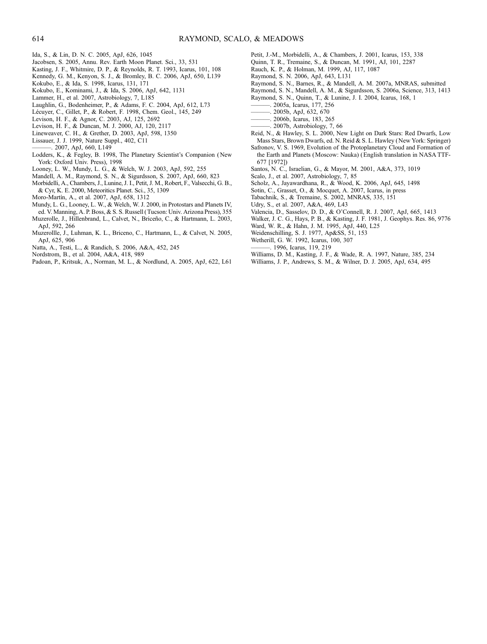- Ida, S., & Lin, D. N. C. 2005, ApJ, 626, 1045
- Jacobsen, S. 2005, Annu. Rev. Earth Moon Planet. Sci., 33, 531
- Kasting, J. F., Whitmire, D. P., & Reynolds, R. T. 1993, Icarus, 101, 108
- Kennedy, G. M., Kenyon, S. J., & Bromley, B. C. 2006, ApJ, 650, L139
- Kokubo, E., & Ida, S. 1998, Icarus, 131, 171
- Kokubo, E., Kominami, J., & Ida, S. 2006, ApJ, 642, 1131
- Lammer, H., et al. 2007, Astrobiology, 7, L185
- Laughlin, G., Bodenheimer, P., & Adams, F. C. 2004, ApJ, 612, L73
- Lécuyer, C., Gillet, P., & Robert, F. 1998, Chem. Geol., 145, 249
- Levison, H. F., & Agnor, C. 2003, AJ, 125, 2692
- Levison, H. F., & Duncan, M. J. 2000, AJ, 120, 2117
- Lineweaver, C. H., & Grether, D. 2003, ApJ, 598, 1350
- Lissauer, J. J. 1999, Nature Suppl., 402, C11
- ———. 2007, ApJ, 660, L149
- Lodders, K., & Fegley, B. 1998, The Planetary Scientist's Companion ( New York: Oxford Univ. Press), 1998
- Looney, L. W., Mundy, L. G., & Welch, W. J. 2003, ApJ, 592, 255
- Mandell, A. M., Raymond, S. N., & Sigurdsson, S. 2007, ApJ, 660, 823
- Morbidelli, A., Chambers, J., Lunine, J. I., Petit, J. M., Robert, F., Valsecchi, G. B.,
- & Cyr, K. E. 2000, Meteoritics Planet. Sci., 35, 1309
- Moro-Martín, A., et al. 2007, ApJ, 658, 1312
- Mundy, L. G., Looney, L. W., & Welch, W. J. 2000, in Protostars and Planets IV, ed. V. Manning, A. P. Boss, & S. S. Russell ( Tucson: Univ. Arizona Press), 355
- Muzerolle, J., Hillenbrand, L., Calvet, N., Briceño, C., & Hartmann, L. 2003, ApJ, 592, 266
- Muzerollle, J., Luhman, K. L., Briceno, C., Hartmann, L., & Calvet, N. 2005, ApJ, 625, 906
- Natta, A., Testi, L., & Randich, S. 2006, A&A, 452, 245
- Nordstrom, B., et al. 2004, A&A, 418, 989
- Padoan, P., Kritsuk, A., Norman, M. L., & Nordlund, A. 2005, ApJ, 622, L61
- Petit, J.-M., Morbidelli, A., & Chambers, J. 2001, Icarus, 153, 338
- Quinn, T. R., Tremaine, S., & Duncan, M. 1991, AJ, 101, 2287
- Rauch, K. P., & Holman, M. 1999, AJ, 117, 1087
- Raymond, S. N. 2006, ApJ, 643, L131
- Raymond, S. N., Barnes, R., & Mandell, A. M. 2007a, MNRAS, submitted
- Raymond, S. N., Mandell, A. M., & Sigurdsson, S. 2006a, Science, 313, 1413
- Raymond, S. N., Quinn, T., & Lunine, J. I. 2004, Icarus, 168, 1
- ———. 2005a, Icarus, 177, 256
- ———. 2005b, ApJ, 632, 670
- ———. 2006b, Icarus, 183, 265
- ———. 2007b, Astrobiology, 7, 66
- Reid, N., & Hawley, S. L. 2000, New Light on Dark Stars: Red Dwarfs, Low Mass Stars, Brown Dwarfs, ed. N. Reid & S. L. Hawley (New York: Springer)
- Safronov, V. S. 1969, Evolution of the Protoplanetary Cloud and Formation of the Earth and Planets (Moscow: Nauka) (English translation in NASA TTF-677 [1972])
- Santos, N. C., Israelian, G., & Mayor, M. 2001, A&A, 373, 1019
- Scalo, J., et al. 2007, Astrobiology, 7, 85
- Scholz, A., Jayawardhana, R., & Wood, K. 2006, ApJ, 645, 1498
- Sotin, C., Grasset, O., & Mocquet, A. 2007, Icarus, in press
- Tabachnik, S., & Tremaine, S. 2002, MNRAS, 335, 151
- Udry, S., et al. 2007, A&A, 469, L43
- Valencia, D., Sasselov, D. D., & O'Connell, R. J. 2007, ApJ, 665, 1413
- Walker, J. C. G., Hays, P. B., & Kasting, J. F. 1981, J. Geophys. Res. 86, 9776
- Ward, W. R., & Hahn, J. M. 1995, ApJ, 440, L25
- Weidenschilling, S. J. 1977, Ap&SS, 51, 153
- Wetherill, G. W. 1992, Icarus, 100, 307
- ———. 1996, Icarus, 119, 219
- Williams, D. M., Kasting, J. F., & Wade, R. A. 1997, Nature, 385, 234
- Williams, J. P., Andrews, S. M., & Wilner, D. J. 2005, ApJ, 634, 495